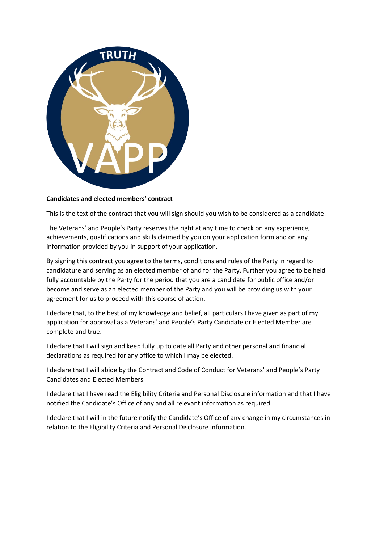

## **Candidates and elected members' contract**

This is the text of the contract that you will sign should you wish to be considered as a candidate:

The Veterans' and People's Party reserves the right at any time to check on any experience, achievements, qualifications and skills claimed by you on your application form and on any information provided by you in support of your application.

By signing this contract you agree to the terms, conditions and rules of the Party in regard to candidature and serving as an elected member of and for the Party. Further you agree to be held fully accountable by the Party for the period that you are a candidate for public office and/or become and serve as an elected member of the Party and you will be providing us with your agreement for us to proceed with this course of action.

I declare that, to the best of my knowledge and belief, all particulars I have given as part of my application for approval as a Veterans' and People's Party Candidate or Elected Member are complete and true.

I declare that I will sign and keep fully up to date all Party and other personal and financial declarations as required for any office to which I may be elected.

I declare that I will abide by the Contract and Code of Conduct for Veterans' and People's Party Candidates and Elected Members.

I declare that I have read the Eligibility Criteria and Personal Disclosure information and that I have notified the Candidate's Office of any and all relevant information as required.

I declare that I will in the future notify the Candidate's Office of any change in my circumstances in relation to the Eligibility Criteria and Personal Disclosure information.